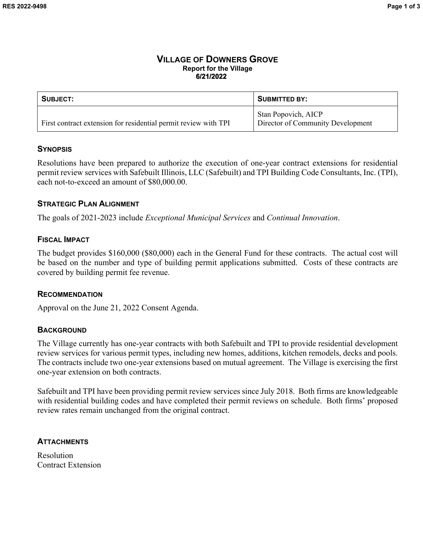### **VILLAGE OF DOWNERS GROVE Report for the Village 6/21/2022**

| <b>SUBJECT:</b>                                                 | <b>SUBMITTED BY:</b>                                            |
|-----------------------------------------------------------------|-----------------------------------------------------------------|
| First contract extension for residential permit review with TPI | <b>Stan Popovich, AICP</b><br>Director of Community Development |

# **SYNOPSIS**

Resolutions have been prepared to authorize the execution of one-year contract extensions for residential permit review services with Safebuilt Illinois, LLC (Safebuilt) and TPI Building Code Consultants, Inc. (TPI), each not-to-exceed an amount of \$80,000.00.

# **STRATEGIC PLAN ALIGNMENT**

The goals of 2021-2023 include *Exceptional Municipal Services* and *Continual Innovation*.

# **FISCAL IMPACT**

The budget provides \$160,000 (\$80,000) each in the General Fund for these contracts. The actual cost will be based on the number and type of building permit applications submitted. Costs of these contracts are covered by building permit fee revenue.

### **RECOMMENDATION**

Approval on the June 21, 2022 Consent Agenda.

# **BACKGROUND**

The Village currently has one-year contracts with both Safebuilt and TPI to provide residential development review services for various permit types, including new homes, additions, kitchen remodels, decks and pools. The contracts include two one-year extensions based on mutual agreement. The Village is exercising the first one-year extension on both contracts.

Safebuilt and TPI have been providing permit review services since July 2018. Both firms are knowledgeable with residential building codes and have completed their permit reviews on schedule. Both firms' proposed review rates remain unchanged from the original contract.

# **ATTACHMENTS**

Resolution Contract Extension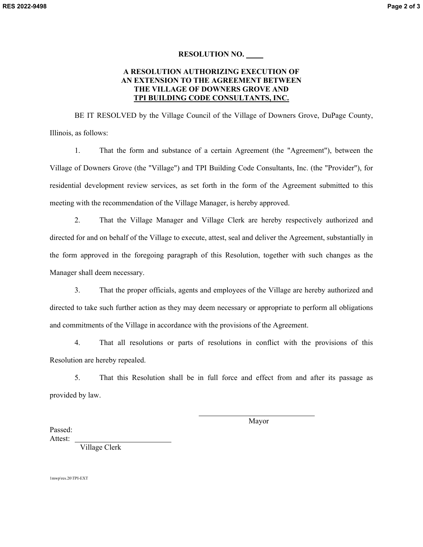#### **RESOLUTION NO.**

#### **A RESOLUTION AUTHORIZING EXECUTION OF AN EXTENSION TO THE AGREEMENT BETWEEN THE VILLAGE OF DOWNERS GROVE AND TPI BUILDING CODE CONSULTANTS, INC.**

BE IT RESOLVED by the Village Council of the Village of Downers Grove, DuPage County, Illinois, as follows:

1. That the form and substance of a certain Agreement (the "Agreement"), between the Village of Downers Grove (the "Village") and TPI Building Code Consultants, Inc. (the "Provider"), for residential development review services, as set forth in the form of the Agreement submitted to this meeting with the recommendation of the Village Manager, is hereby approved.

2. That the Village Manager and Village Clerk are hereby respectively authorized and directed for and on behalf of the Village to execute, attest, seal and deliver the Agreement, substantially in the form approved in the foregoing paragraph of this Resolution, together with such changes as the Manager shall deem necessary.

3. That the proper officials, agents and employees of the Village are hereby authorized and directed to take such further action as they may deem necessary or appropriate to perform all obligations and commitments of the Village in accordance with the provisions of the Agreement.

4. That all resolutions or parts of resolutions in conflict with the provisions of this Resolution are hereby repealed.

5. That this Resolution shall be in full force and effect from and after its passage as provided by law.

 $\overline{\phantom{0}}$ 

Mayor

Passed: Attest:

Village Clerk

1mwp\res.20\TPI-EXT